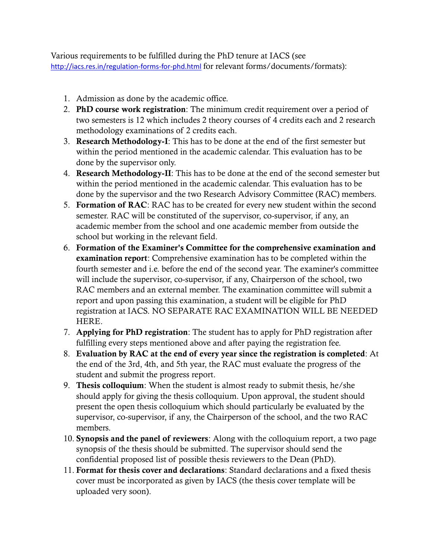Various requirements to be fulfilled during the PhD tenure at IACS (see <http://iacs.res.in/regulation-forms-for-phd.html> for relevant forms/documents/formats):

- 1. Admission as done by the academic office.
- 2. **PhD course work registration**: The minimum credit requirement over a period of two semesters is 12 which includes 2 theory courses of 4 credits each and 2 research methodology examinations of 2 credits each.
- 3. **Research Methodology-I**: This has to be done at the end of the first semester but within the period mentioned in the academic calendar. This evaluation has to be done by the supervisor only.
- 4. **Research Methodology-II**: This has to be done at the end of the second semester but within the period mentioned in the academic calendar. This evaluation has to be done by the supervisor and the two Research Advisory Committee (RAC) members.
- 5. **Formation of RAC**: RAC has to be created for every new student within the second semester. RAC will be constituted of the supervisor, co-supervisor, if any, an academic member from the school and one academic member from outside the school but working in the relevant field.
- 6. **Formation of the Examiner's Committee for the comprehensive examination and examination report**: Comprehensive examination has to be completed within the fourth semester and i.e. before the end of the second year. The examiner's committee will include the supervisor, co-supervisor, if any, Chairperson of the school, two RAC members and an external member. The examination committee will submit a report and upon passing this examination, a student will be eligible for PhD registration at IACS. NO SEPARATE RAC EXAMINATION WILL BE NEEDED HERE.
- 7. **Applying for PhD registration**: The student has to apply for PhD registration after fulfilling every steps mentioned above and after paying the registration fee.
- 8. **Evaluation by RAC at the end of every year since the registration is completed**: At the end of the 3rd, 4th, and 5th year, the RAC must evaluate the progress of the student and submit the progress report.
- 9. **Thesis colloquium**: When the student is almost ready to submit thesis, he/she should apply for giving the thesis colloquium. Upon approval, the student should present the open thesis colloquium which should particularly be evaluated by the supervisor, co-supervisor, if any, the Chairperson of the school, and the two RAC members.
- 10. **Synopsis and the panel of reviewers**: Along with the colloquium report, a two page synopsis of the thesis should be submitted. The supervisor should send the confidential proposed list of possible thesis reviewers to the Dean (PhD).
- 11. **Format for thesis cover and declarations**: Standard declarations and a fixed thesis cover must be incorporated as given by IACS (the thesis cover template will be uploaded very soon).